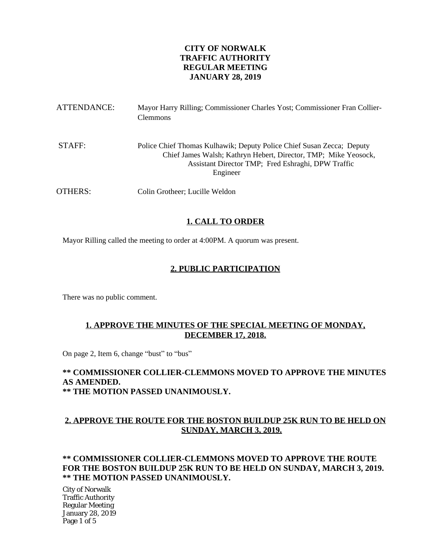## **CITY OF NORWALK TRAFFIC AUTHORITY REGULAR MEETING JANUARY 28, 2019**

| ATTENDANCE: | Mayor Harry Rilling; Commissioner Charles Yost; Commissioner Fran Collier-<br><b>Clemmons</b>                                                                                                              |
|-------------|------------------------------------------------------------------------------------------------------------------------------------------------------------------------------------------------------------|
| STAFF:      | Police Chief Thomas Kulhawik; Deputy Police Chief Susan Zecca; Deputy<br>Chief James Walsh; Kathryn Hebert, Director, TMP; Mike Yeosock,<br>Assistant Director TMP; Fred Eshraghi, DPW Traffic<br>Engineer |
| OTHERS:     | Colin Grotheer; Lucille Weldon                                                                                                                                                                             |

## **1. CALL TO ORDER**

Mayor Rilling called the meeting to order at 4:00PM. A quorum was present.

### **2. PUBLIC PARTICIPATION**

There was no public comment.

### **1. APPROVE THE MINUTES OF THE SPECIAL MEETING OF MONDAY, DECEMBER 17, 2018.**

On page 2, Item 6, change "bust" to "bus"

#### **\*\* COMMISSIONER COLLIER-CLEMMONS MOVED TO APPROVE THE MINUTES AS AMENDED. \*\* THE MOTION PASSED UNANIMOUSLY.**

## **2. APPROVE THE ROUTE FOR THE BOSTON BUILDUP 25K RUN TO BE HELD ON SUNDAY, MARCH 3, 2019.**

### **\*\* COMMISSIONER COLLIER-CLEMMONS MOVED TO APPROVE THE ROUTE FOR THE BOSTON BUILDUP 25K RUN TO BE HELD ON SUNDAY, MARCH 3, 2019. \*\* THE MOTION PASSED UNANIMOUSLY.**

City of Norwalk Traffic Authority Regular Meeting January 28, 2019 Page 1 of 5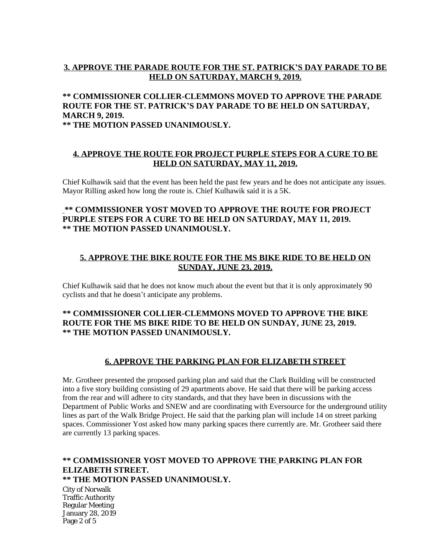### **3. APPROVE THE PARADE ROUTE FOR THE ST. PATRICK'S DAY PARADE TO BE HELD ON SATURDAY, MARCH 9, 2019.**

## **\*\* COMMISSIONER COLLIER-CLEMMONS MOVED TO APPROVE THE PARADE ROUTE FOR THE ST. PATRICK'S DAY PARADE TO BE HELD ON SATURDAY, MARCH 9, 2019.**

**\*\* THE MOTION PASSED UNANIMOUSLY.**

### **4. APPROVE THE ROUTE FOR PROJECT PURPLE STEPS FOR A CURE TO BE HELD ON SATURDAY, MAY 11, 2019.**

Chief Kulhawik said that the event has been held the past few years and he does not anticipate any issues. Mayor Rilling asked how long the route is. Chief Kulhawik said it is a 5K.

### **\*\* COMMISSIONER YOST MOVED TO APPROVE THE ROUTE FOR PROJECT PURPLE STEPS FOR A CURE TO BE HELD ON SATURDAY, MAY 11, 2019. \*\* THE MOTION PASSED UNANIMOUSLY.**

### **5. APPROVE THE BIKE ROUTE FOR THE MS BIKE RIDE TO BE HELD ON SUNDAY, JUNE 23, 2019.**

Chief Kulhawik said that he does not know much about the event but that it is only approximately 90 cyclists and that he doesn't anticipate any problems.

### **\*\* COMMISSIONER COLLIER-CLEMMONS MOVED TO APPROVE THE BIKE ROUTE FOR THE MS BIKE RIDE TO BE HELD ON SUNDAY, JUNE 23, 2019. \*\* THE MOTION PASSED UNANIMOUSLY.**

### **6. APPROVE THE PARKING PLAN FOR ELIZABETH STREET**

Mr. Grotheer presented the proposed parking plan and said that the Clark Building will be constructed into a five story building consisting of 29 apartments above. He said that there will be parking access from the rear and will adhere to city standards, and that they have been in discussions with the Department of Public Works and SNEW and are coordinating with Eversource for the underground utility lines as part of the Walk Bridge Project. He said that the parking plan will include 14 on street parking spaces. Commissioner Yost asked how many parking spaces there currently are. Mr. Grotheer said there are currently 13 parking spaces.

# **\*\* COMMISSIONER YOST MOVED TO APPROVE THE PARKING PLAN FOR ELIZABETH STREET.**

**\*\* THE MOTION PASSED UNANIMOUSLY.**

City of Norwalk Traffic Authority Regular Meeting January 28, 2019 Page 2 of 5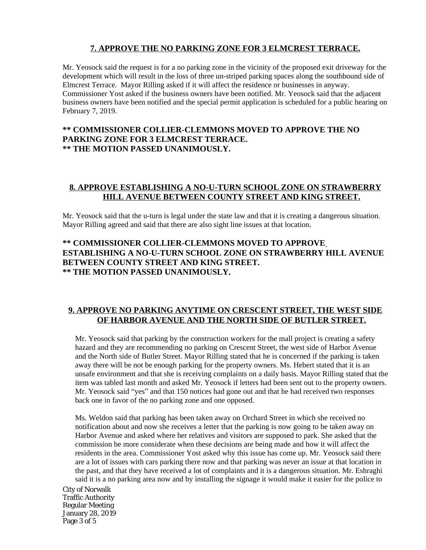## **7. APPROVE THE NO PARKING ZONE FOR 3 ELMCREST TERRACE.**

Mr. Yeosock said the request is for a no parking zone in the vicinity of the proposed exit driveway for the development which will result in the loss of three un-striped parking spaces along the southbound side of Elmcrest Terrace. Mayor Rilling asked if it will affect the residence or businesses in anyway. Commissioner Yost asked if the business owners have been notified. Mr. Yeosock said that the adjacent business owners have been notified and the special permit application is scheduled for a public hearing on February 7, 2019.

### **\*\* COMMISSIONER COLLIER-CLEMMONS MOVED TO APPROVE THE NO PARKING ZONE FOR 3 ELMCREST TERRACE. \*\* THE MOTION PASSED UNANIMOUSLY.**

## **8. APPROVE ESTABLISHING A NO-U-TURN SCHOOL ZONE ON STRAWBERRY HILL AVENUE BETWEEN COUNTY STREET AND KING STREET.**

Mr. Yeosock said that the u-turn is legal under the state law and that it is creating a dangerous situation. Mayor Rilling agreed and said that there are also sight line issues at that location.

### **\*\* COMMISSIONER COLLIER-CLEMMONS MOVED TO APPROVE ESTABLISHING A NO-U-TURN SCHOOL ZONE ON STRAWBERRY HILL AVENUE BETWEEN COUNTY STREET AND KING STREET. \*\* THE MOTION PASSED UNANIMOUSLY.**

## **9. APPROVE NO PARKING ANYTIME ON CRESCENT STREET, THE WEST SIDE OF HARBOR AVENUE AND THE NORTH SIDE OF BUTLER STREET.**

Mr. Yeosock said that parking by the construction workers for the mall project is creating a safety hazard and they are recommending no parking on Crescent Street, the west side of Harbor Avenue and the North side of Butler Street. Mayor Rilling stated that he is concerned if the parking is taken away there will be not be enough parking for the property owners. Ms. Hebert stated that it is an unsafe environment and that she is receiving complaints on a daily basis. Mayor Rilling stated that the item was tabled last month and asked Mr. Yeosock if letters had been sent out to the property owners. Mr. Yeosock said "yes" and that 150 notices had gone out and that he had received two responses back one in favor of the no parking zone and one opposed.

Ms. Weldon said that parking has been taken away on Orchard Street in which she received no notification about and now she receives a letter that the parking is now going to be taken away on Harbor Avenue and asked where her relatives and visitors are supposed to park. She asked that the commission be more considerate when these decisions are being made and how it will affect the residents in the area. Commissioner Yost asked why this issue has come up. Mr. Yeosock said there are a lot of issues with cars parking there now and that parking was never an issue at that location in the past, and that they have received a lot of complaints and it is a dangerous situation. Mr. Eshraghi said it is a no parking area now and by installing the signage it would make it easier for the police to

City of Norwalk Traffic Authority Regular Meeting January 28, 2019 Page 3 of 5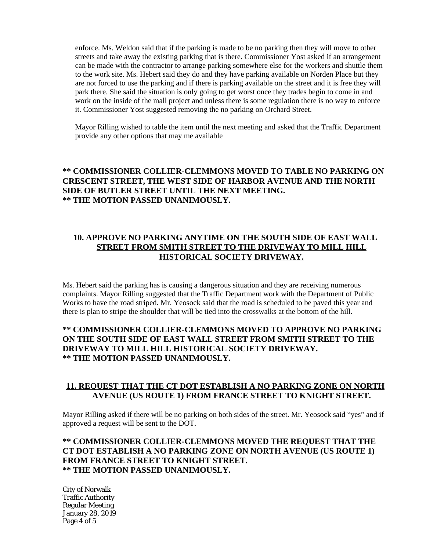enforce. Ms. Weldon said that if the parking is made to be no parking then they will move to other streets and take away the existing parking that is there. Commissioner Yost asked if an arrangement can be made with the contractor to arrange parking somewhere else for the workers and shuttle them to the work site. Ms. Hebert said they do and they have parking available on Norden Place but they are not forced to use the parking and if there is parking available on the street and it is free they will park there. She said the situation is only going to get worst once they trades begin to come in and work on the inside of the mall project and unless there is some regulation there is no way to enforce it. Commissioner Yost suggested removing the no parking on Orchard Street.

Mayor Rilling wished to table the item until the next meeting and asked that the Traffic Department provide any other options that may me available

## **\*\* COMMISSIONER COLLIER-CLEMMONS MOVED TO TABLE NO PARKING ON CRESCENT STREET, THE WEST SIDE OF HARBOR AVENUE AND THE NORTH SIDE OF BUTLER STREET UNTIL THE NEXT MEETING. \*\* THE MOTION PASSED UNANIMOUSLY.**

## **10. APPROVE NO PARKING ANYTIME ON THE SOUTH SIDE OF EAST WALL STREET FROM SMITH STREET TO THE DRIVEWAY TO MILL HILL HISTORICAL SOCIETY DRIVEWAY.**

Ms. Hebert said the parking has is causing a dangerous situation and they are receiving numerous complaints. Mayor Rilling suggested that the Traffic Department work with the Department of Public Works to have the road striped. Mr. Yeosock said that the road is scheduled to be paved this year and there is plan to stripe the shoulder that will be tied into the crosswalks at the bottom of the hill.

### **\*\* COMMISSIONER COLLIER-CLEMMONS MOVED TO APPROVE NO PARKING ON THE SOUTH SIDE OF EAST WALL STREET FROM SMITH STREET TO THE DRIVEWAY TO MILL HILL HISTORICAL SOCIETY DRIVEWAY. \*\* THE MOTION PASSED UNANIMOUSLY.**

### **11. REQUEST THAT THE CT DOT ESTABLISH A NO PARKING ZONE ON NORTH AVENUE (US ROUTE 1) FROM FRANCE STREET TO KNIGHT STREET.**

Mayor Rilling asked if there will be no parking on both sides of the street. Mr. Yeosock said "yes" and if approved a request will be sent to the DOT.

### **\*\* COMMISSIONER COLLIER-CLEMMONS MOVED THE REQUEST THAT THE CT DOT ESTABLISH A NO PARKING ZONE ON NORTH AVENUE (US ROUTE 1) FROM FRANCE STREET TO KNIGHT STREET. \*\* THE MOTION PASSED UNANIMOUSLY.**

City of Norwalk Traffic Authority Regular Meeting January 28, 2019 Page 4 of 5